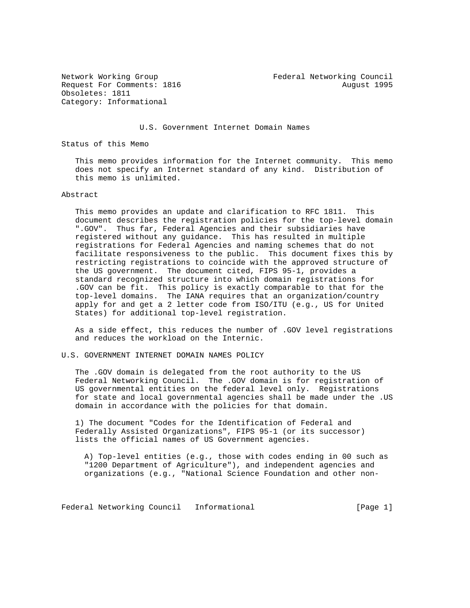Obsoletes: 1811 Category: Informational

Network Working Group Federal Networking Council Request For Comments: 1816 August 1995

U.S. Government Internet Domain Names

Status of this Memo

 This memo provides information for the Internet community. This memo does not specify an Internet standard of any kind. Distribution of this memo is unlimited.

## Abstract

 This memo provides an update and clarification to RFC 1811. This document describes the registration policies for the top-level domain ".GOV". Thus far, Federal Agencies and their subsidiaries have registered without any guidance. This has resulted in multiple registrations for Federal Agencies and naming schemes that do not facilitate responsiveness to the public. This document fixes this by restricting registrations to coincide with the approved structure of the US government. The document cited, FIPS 95-1, provides a standard recognized structure into which domain registrations for .GOV can be fit. This policy is exactly comparable to that for the top-level domains. The IANA requires that an organization/country apply for and get a 2 letter code from ISO/ITU (e.g., US for United States) for additional top-level registration.

 As a side effect, this reduces the number of .GOV level registrations and reduces the workload on the Internic.

U.S. GOVERNMENT INTERNET DOMAIN NAMES POLICY

 The .GOV domain is delegated from the root authority to the US Federal Networking Council. The .GOV domain is for registration of US governmental entities on the federal level only. Registrations for state and local governmental agencies shall be made under the .US domain in accordance with the policies for that domain.

 1) The document "Codes for the Identification of Federal and Federally Assisted Organizations", FIPS 95-1 (or its successor) lists the official names of US Government agencies.

 A) Top-level entities (e.g., those with codes ending in 00 such as "1200 Department of Agriculture"), and independent agencies and organizations (e.g., "National Science Foundation and other non-

Federal Networking Council Informational [Page 1]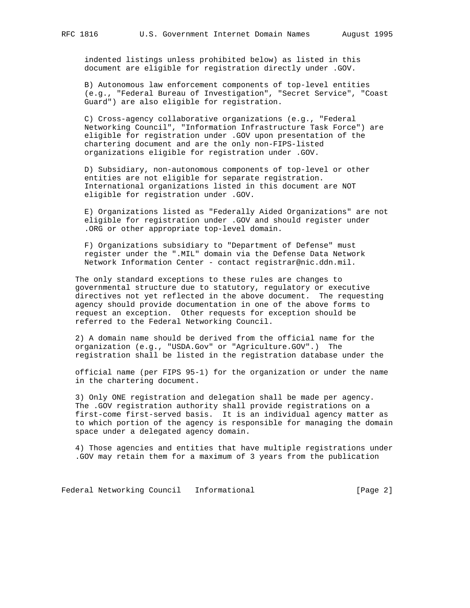indented listings unless prohibited below) as listed in this document are eligible for registration directly under .GOV.

 B) Autonomous law enforcement components of top-level entities (e.g., "Federal Bureau of Investigation", "Secret Service", "Coast Guard") are also eligible for registration.

 C) Cross-agency collaborative organizations (e.g., "Federal Networking Council", "Information Infrastructure Task Force") are eligible for registration under .GOV upon presentation of the chartering document and are the only non-FIPS-listed organizations eligible for registration under .GOV.

 D) Subsidiary, non-autonomous components of top-level or other entities are not eligible for separate registration. International organizations listed in this document are NOT eligible for registration under .GOV.

 E) Organizations listed as "Federally Aided Organizations" are not eligible for registration under .GOV and should register under .ORG or other appropriate top-level domain.

 F) Organizations subsidiary to "Department of Defense" must register under the ".MIL" domain via the Defense Data Network Network Information Center - contact registrar@nic.ddn.mil.

 The only standard exceptions to these rules are changes to governmental structure due to statutory, regulatory or executive directives not yet reflected in the above document. The requesting agency should provide documentation in one of the above forms to request an exception. Other requests for exception should be referred to the Federal Networking Council.

 2) A domain name should be derived from the official name for the organization (e.g., "USDA.Gov" or "Agriculture.GOV".) The registration shall be listed in the registration database under the

 official name (per FIPS 95-1) for the organization or under the name in the chartering document.

 3) Only ONE registration and delegation shall be made per agency. The .GOV registration authority shall provide registrations on a first-come first-served basis. It is an individual agency matter as to which portion of the agency is responsible for managing the domain space under a delegated agency domain.

 4) Those agencies and entities that have multiple registrations under .GOV may retain them for a maximum of 3 years from the publication

Federal Networking Council Informational [Page 2]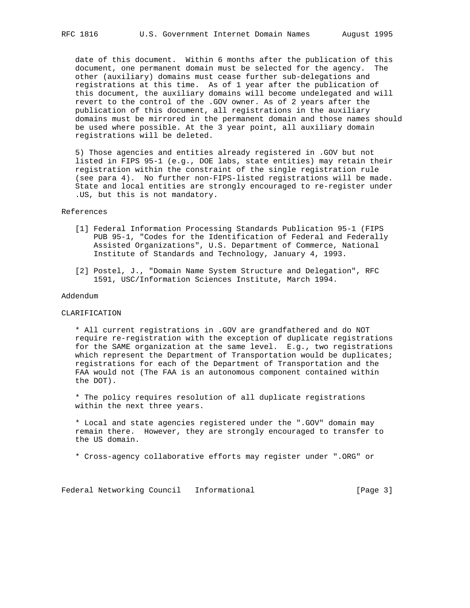date of this document. Within 6 months after the publication of this document, one permanent domain must be selected for the agency. The other (auxiliary) domains must cease further sub-delegations and registrations at this time. As of 1 year after the publication of this document, the auxiliary domains will become undelegated and will revert to the control of the .GOV owner. As of 2 years after the publication of this document, all registrations in the auxiliary domains must be mirrored in the permanent domain and those names should be used where possible. At the 3 year point, all auxiliary domain registrations will be deleted.

 5) Those agencies and entities already registered in .GOV but not listed in FIPS 95-1 (e.g., DOE labs, state entities) may retain their registration within the constraint of the single registration rule (see para 4). No further non-FIPS-listed registrations will be made. State and local entities are strongly encouraged to re-register under .US, but this is not mandatory.

#### References

- [1] Federal Information Processing Standards Publication 95-1 (FIPS PUB 95-1, "Codes for the Identification of Federal and Federally Assisted Organizations", U.S. Department of Commerce, National Institute of Standards and Technology, January 4, 1993.
- [2] Postel, J., "Domain Name System Structure and Delegation", RFC 1591, USC/Information Sciences Institute, March 1994.

### Addendum

### CLARIFICATION

 \* All current registrations in .GOV are grandfathered and do NOT require re-registration with the exception of duplicate registrations for the SAME organization at the same level. E.g., two registrations which represent the Department of Transportation would be duplicates; registrations for each of the Department of Transportation and the FAA would not (The FAA is an autonomous component contained within the DOT).

 \* The policy requires resolution of all duplicate registrations within the next three years.

 \* Local and state agencies registered under the ".GOV" domain may remain there. However, they are strongly encouraged to transfer to the US domain.

\* Cross-agency collaborative efforts may register under ".ORG" or

Federal Networking Council Informational [Page 3]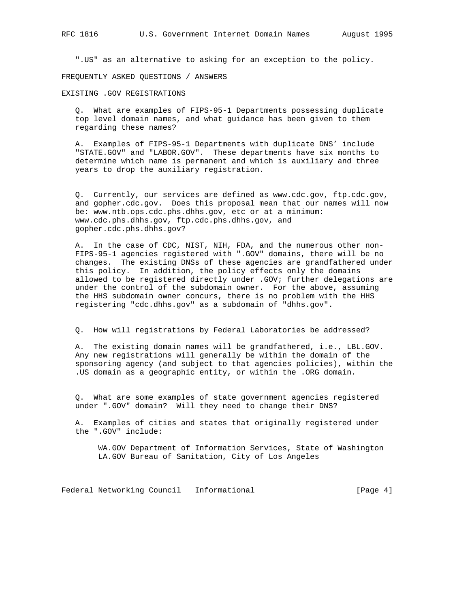".US" as an alternative to asking for an exception to the policy.

FREQUENTLY ASKED QUESTIONS / ANSWERS

EXISTING .GOV REGISTRATIONS

 Q. What are examples of FIPS-95-1 Departments possessing duplicate top level domain names, and what guidance has been given to them regarding these names?

 A. Examples of FIPS-95-1 Departments with duplicate DNS' include "STATE.GOV" and "LABOR.GOV". These departments have six months to determine which name is permanent and which is auxiliary and three years to drop the auxiliary registration.

 Q. Currently, our services are defined as www.cdc.gov, ftp.cdc.gov, and gopher.cdc.gov. Does this proposal mean that our names will now be: www.ntb.ops.cdc.phs.dhhs.gov, etc or at a minimum: www.cdc.phs.dhhs.gov, ftp.cdc.phs.dhhs.gov, and gopher.cdc.phs.dhhs.gov?

 A. In the case of CDC, NIST, NIH, FDA, and the numerous other non- FIPS-95-1 agencies registered with ".GOV" domains, there will be no changes. The existing DNSs of these agencies are grandfathered under this policy. In addition, the policy effects only the domains allowed to be registered directly under .GOV; further delegations are under the control of the subdomain owner. For the above, assuming the HHS subdomain owner concurs, there is no problem with the HHS registering "cdc.dhhs.gov" as a subdomain of "dhhs.gov".

Q. How will registrations by Federal Laboratories be addressed?

 A. The existing domain names will be grandfathered, i.e., LBL.GOV. Any new registrations will generally be within the domain of the sponsoring agency (and subject to that agencies policies), within the .US domain as a geographic entity, or within the .ORG domain.

 Q. What are some examples of state government agencies registered under ".GOV" domain? Will they need to change their DNS?

 A. Examples of cities and states that originally registered under the ".GOV" include:

 WA.GOV Department of Information Services, State of Washington LA.GOV Bureau of Sanitation, City of Los Angeles

Federal Networking Council Informational [Page 4]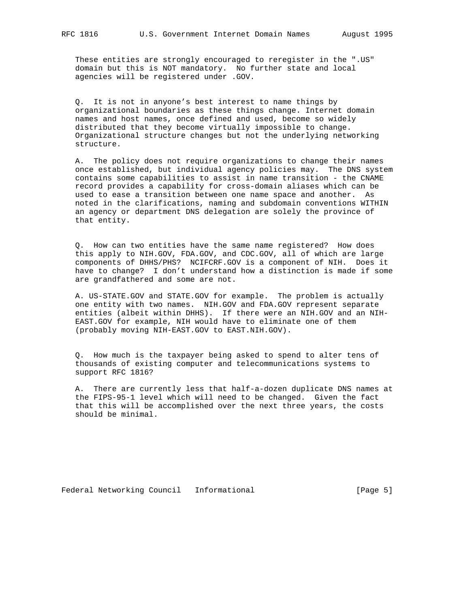These entities are strongly encouraged to reregister in the ".US" domain but this is NOT mandatory. No further state and local agencies will be registered under .GOV.

 Q. It is not in anyone's best interest to name things by organizational boundaries as these things change. Internet domain names and host names, once defined and used, become so widely distributed that they become virtually impossible to change. Organizational structure changes but not the underlying networking structure.

 A. The policy does not require organizations to change their names once established, but individual agency policies may. The DNS system contains some capabilities to assist in name transition - the CNAME record provides a capability for cross-domain aliases which can be used to ease a transition between one name space and another. As noted in the clarifications, naming and subdomain conventions WITHIN an agency or department DNS delegation are solely the province of that entity.

 Q. How can two entities have the same name registered? How does this apply to NIH.GOV, FDA.GOV, and CDC.GOV, all of which are large components of DHHS/PHS? NCIFCRF.GOV is a component of NIH. Does it have to change? I don't understand how a distinction is made if some are grandfathered and some are not.

 A. US-STATE.GOV and STATE.GOV for example. The problem is actually one entity with two names. NIH.GOV and FDA.GOV represent separate entities (albeit within DHHS). If there were an NIH.GOV and an NIH- EAST.GOV for example, NIH would have to eliminate one of them (probably moving NIH-EAST.GOV to EAST.NIH.GOV).

 Q. How much is the taxpayer being asked to spend to alter tens of thousands of existing computer and telecommunications systems to support RFC 1816?

 A. There are currently less that half-a-dozen duplicate DNS names at the FIPS-95-1 level which will need to be changed. Given the fact that this will be accomplished over the next three years, the costs should be minimal.

Federal Networking Council Informational [Page 5]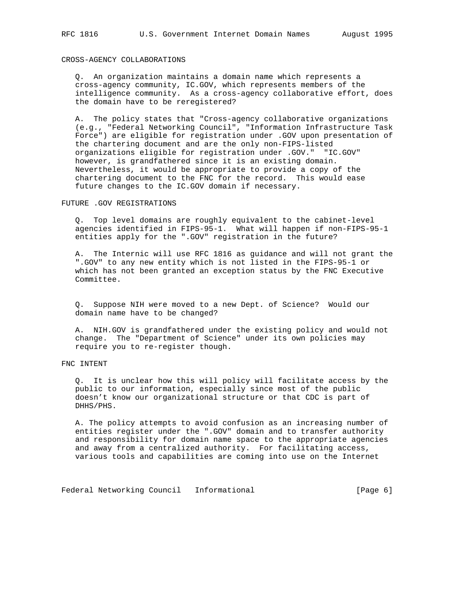## CROSS-AGENCY COLLABORATIONS

 Q. An organization maintains a domain name which represents a cross-agency community, IC.GOV, which represents members of the intelligence community. As a cross-agency collaborative effort, does the domain have to be reregistered?

 A. The policy states that "Cross-agency collaborative organizations (e.g., "Federal Networking Council", "Information Infrastructure Task Force") are eligible for registration under .GOV upon presentation of the chartering document and are the only non-FIPS-listed organizations eligible for registration under .GOV." "IC.GOV" however, is grandfathered since it is an existing domain. Nevertheless, it would be appropriate to provide a copy of the chartering document to the FNC for the record. This would ease future changes to the IC.GOV domain if necessary.

FUTURE .GOV REGISTRATIONS

 Q. Top level domains are roughly equivalent to the cabinet-level agencies identified in FIPS-95-1. What will happen if non-FIPS-95-1 entities apply for the ".GOV" registration in the future?

 A. The Internic will use RFC 1816 as guidance and will not grant the ".GOV" to any new entity which is not listed in the FIPS-95-1 or which has not been granted an exception status by the FNC Executive Committee.

 Q. Suppose NIH were moved to a new Dept. of Science? Would our domain name have to be changed?

 A. NIH.GOV is grandfathered under the existing policy and would not change. The "Department of Science" under its own policies may require you to re-register though.

# FNC INTENT

 Q. It is unclear how this will policy will facilitate access by the public to our information, especially since most of the public doesn't know our organizational structure or that CDC is part of DHHS/PHS.

 A. The policy attempts to avoid confusion as an increasing number of entities register under the ".GOV" domain and to transfer authority and responsibility for domain name space to the appropriate agencies and away from a centralized authority. For facilitating access, various tools and capabilities are coming into use on the Internet

Federal Networking Council Informational 1999 (Page 6)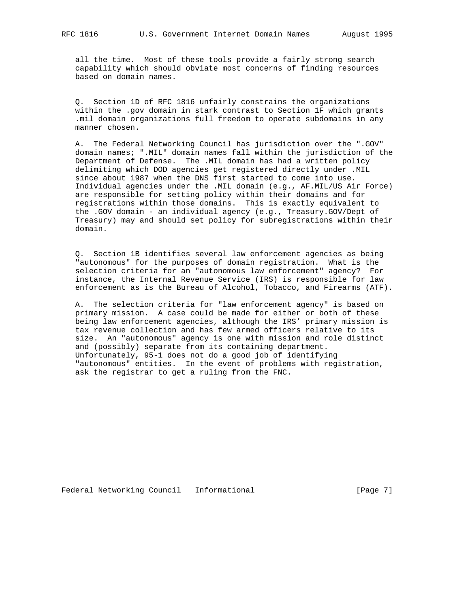all the time. Most of these tools provide a fairly strong search capability which should obviate most concerns of finding resources based on domain names.

 Q. Section 1D of RFC 1816 unfairly constrains the organizations within the .gov domain in stark contrast to Section 1F which grants .mil domain organizations full freedom to operate subdomains in any manner chosen.

 A. The Federal Networking Council has jurisdiction over the ".GOV" domain names; ".MIL" domain names fall within the jurisdiction of the Department of Defense. The .MIL domain has had a written policy delimiting which DOD agencies get registered directly under .MIL since about 1987 when the DNS first started to come into use. Individual agencies under the .MIL domain (e.g., AF.MIL/US Air Force) are responsible for setting policy within their domains and for registrations within those domains. This is exactly equivalent to the .GOV domain - an individual agency (e.g., Treasury.GOV/Dept of Treasury) may and should set policy for subregistrations within their domain.

 Q. Section 1B identifies several law enforcement agencies as being "autonomous" for the purposes of domain registration. What is the selection criteria for an "autonomous law enforcement" agency? For instance, the Internal Revenue Service (IRS) is responsible for law enforcement as is the Bureau of Alcohol, Tobacco, and Firearms (ATF).

 A. The selection criteria for "law enforcement agency" is based on primary mission. A case could be made for either or both of these being law enforcement agencies, although the IRS' primary mission is tax revenue collection and has few armed officers relative to its size. An "autonomous" agency is one with mission and role distinct and (possibly) separate from its containing department. Unfortunately, 95-1 does not do a good job of identifying "autonomous" entities. In the event of problems with registration, ask the registrar to get a ruling from the FNC.

Federal Networking Council Informational [Page 7]